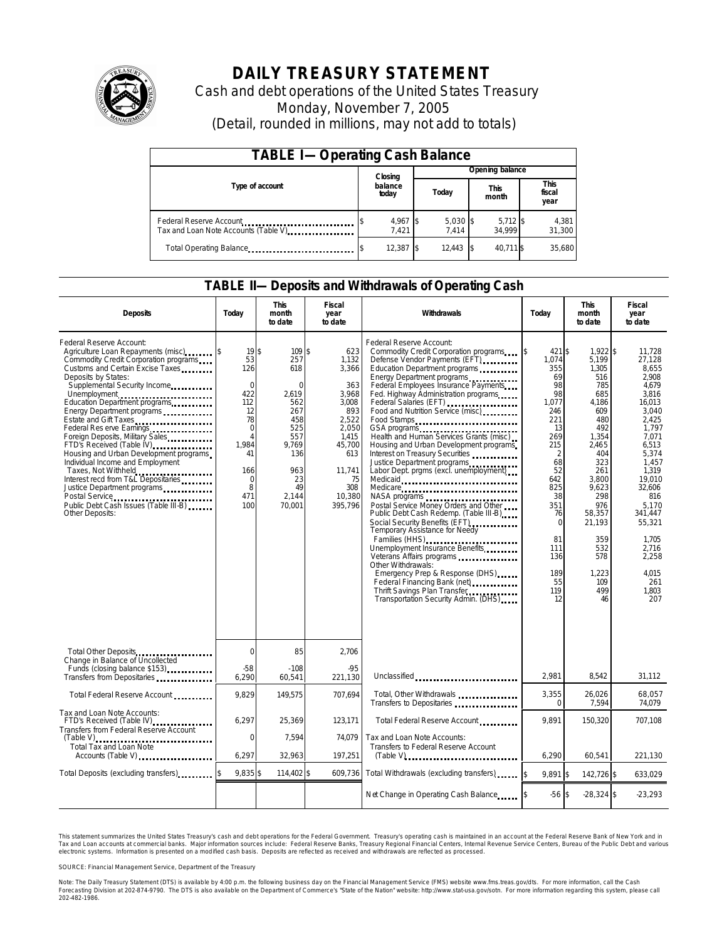

# **DAILY TREASURY STATEMENT**

Cash and debt operations of the United States Treasury Monday, November 7, 2005 (Detail, rounded in millions, may not add to totals)

| <b>TABLE I-Operating Cash Balance</b>                            |  |                   |  |                     |  |                      |                               |                 |  |
|------------------------------------------------------------------|--|-------------------|--|---------------------|--|----------------------|-------------------------------|-----------------|--|
|                                                                  |  | Closing           |  | Opening balance     |  |                      |                               |                 |  |
| Type of account                                                  |  | balance<br>today  |  | Today               |  | <b>This</b><br>month | <b>This</b><br>fiscal<br>year |                 |  |
| Federal Reserve Account<br>Tax and Loan Note Accounts (Table V). |  | 4,967 \$<br>7.421 |  | $5,030$ \$<br>7.414 |  | $5,712$ \$<br>34.999 |                               | 4,381<br>31,300 |  |
| Total Operating Balance                                          |  | 12.387 \$         |  | 12.443              |  | 40.711 \$            |                               | 35.680          |  |

### **TABLE II—Deposits and Withdrawals of Operating Cash**

| <b>Deposits</b>                                                                                                                                                                                                                                                                                                                                                                                                                                                                                                                                                                                       | Today                                                                                                                                     | <b>This</b><br>month<br>to date                                                                                                    | <b>Fiscal</b><br>year<br>to date                                                                                                              | Withdrawals                                                                                                                                                                                                                                                                                                                                                                                                                                                                                                                                                                                                                                                                                                                                                                                                                                                                                                                                | Today                                                                                                                                                                                                              | <b>This</b><br>month<br>to date                                                                                                                                                                                            | <b>Fiscal</b><br>year<br>to date                                                                                                                                                                                                                           |
|-------------------------------------------------------------------------------------------------------------------------------------------------------------------------------------------------------------------------------------------------------------------------------------------------------------------------------------------------------------------------------------------------------------------------------------------------------------------------------------------------------------------------------------------------------------------------------------------------------|-------------------------------------------------------------------------------------------------------------------------------------------|------------------------------------------------------------------------------------------------------------------------------------|-----------------------------------------------------------------------------------------------------------------------------------------------|--------------------------------------------------------------------------------------------------------------------------------------------------------------------------------------------------------------------------------------------------------------------------------------------------------------------------------------------------------------------------------------------------------------------------------------------------------------------------------------------------------------------------------------------------------------------------------------------------------------------------------------------------------------------------------------------------------------------------------------------------------------------------------------------------------------------------------------------------------------------------------------------------------------------------------------------|--------------------------------------------------------------------------------------------------------------------------------------------------------------------------------------------------------------------|----------------------------------------------------------------------------------------------------------------------------------------------------------------------------------------------------------------------------|------------------------------------------------------------------------------------------------------------------------------------------------------------------------------------------------------------------------------------------------------------|
| Federal Reserve Account:<br>Agriculture Loan Repayments (misc)<br>Commodity Credit Corporation programs<br>Customs and Certain Excise Taxes<br>Deposits by States:<br>Supplemental Security Income<br>Energy Department programs<br>Estate and Gift Taxes<br>Federal Res erve Earnings<br>Foreign Deposits, Military Sales<br>FTD's Received (Table IV)<br>Housing and Urban Development programs<br>Individual Income and Employment<br>Taxes, Not Withheld<br>Interest recd from T&L Depositaries<br>Justice Department programs<br>Public Debt Cash Issues (Table III-B)<br><b>Other Deposits:</b> | 19\$<br>53<br>126<br>$\mathbf 0$<br>422<br>112<br>12<br>78<br>$\mathbf 0$<br>$\overline{A}$<br>1,984<br>41<br>166<br>0<br>8<br>471<br>100 | 109 \$<br>257<br>618<br>$\Omega$<br>2.619<br>562<br>267<br>458<br>525<br>557<br>9.769<br>136<br>963<br>23<br>49<br>2.144<br>70,001 | 623<br>1,132<br>3,366<br>363<br>3.968<br>3.008<br>893<br>2,522<br>2,050<br>1.415<br>45,700<br>613<br>11.741<br>75<br>308<br>10,380<br>395,796 | Federal Reserve Account:<br>Commodity Credit Corporation programs<br>Defense Vendor Payments (EFT)<br>Education Department programs<br>Energy Department programs<br>Federal Employees Insurance Payments<br>Fed. Highway Administration programs<br>Federal Salaries (EFT)<br>Food and Nutrition Service (misc)<br>Food Stamps<br>GSA programs<br>Health and Human Services Grants (misc)<br>Housing and Urban Development programs<br>Interest on Treasury Securities<br>Justice Department programs<br>Labor Dept. prgms (excl. unemployment)<br>Medicaid<br>Medicare<br>NASA programs<br>Postal Service Money Orders and Other<br>Public Debt Cash Redemp. (Table III-B)<br>Social Security Benefits (EFT)<br><br>Temporary Assistance for Needy<br>Families (HHS)<br>Unemployment Insurance Benefits<br>Other Withdrawals:<br>Emergency Prep & Response (DHS)<br>Thrift Savings Plan Transfer<br>Transportation Security Admin. (DHS) | 421 \$<br>\$<br>1,074<br>355<br>69<br>98<br>98<br>1.077<br>246<br>221<br>13<br>269<br>215<br>$\overline{2}$<br>68<br>52<br>642<br>825<br>38<br>351<br>76<br>$\Omega$<br>81<br>111<br>136<br>189<br>55<br>119<br>12 | 1,922 \$<br>5,199<br>1,305<br>516<br>785<br>685<br>4.186<br>609<br>480<br>492<br>1,354<br>2,465<br>404<br>323<br>261<br>3.800<br>9,623<br>298<br>976<br>58,357<br>21.193<br>359<br>532<br>578<br>1,223<br>109<br>499<br>46 | 11,728<br>27,128<br>8,655<br>2.908<br>4,679<br>3.816<br>16.013<br>3.040<br>2.425<br>1,797<br>7.071<br>6,513<br>5.374<br>1.457<br>1.319<br>19.010<br>32,606<br>816<br>5.170<br>341.447<br>55,321<br>1.705<br>2,716<br>2,258<br>4.015<br>261<br>1.803<br>207 |
| Total Other Deposits                                                                                                                                                                                                                                                                                                                                                                                                                                                                                                                                                                                  | 0                                                                                                                                         | 85                                                                                                                                 | 2,706                                                                                                                                         |                                                                                                                                                                                                                                                                                                                                                                                                                                                                                                                                                                                                                                                                                                                                                                                                                                                                                                                                            |                                                                                                                                                                                                                    |                                                                                                                                                                                                                            |                                                                                                                                                                                                                                                            |
| Change in Balance of Uncollected<br>Funds (closing balance \$153)<br>Funds<br>Transfers from Depositaries                                                                                                                                                                                                                                                                                                                                                                                                                                                                                             | $-58$<br>6,290                                                                                                                            | $-108$<br>60.541                                                                                                                   | $-95$<br>221.130                                                                                                                              | Unclassified                                                                                                                                                                                                                                                                                                                                                                                                                                                                                                                                                                                                                                                                                                                                                                                                                                                                                                                               | 2.981                                                                                                                                                                                                              | 8.542                                                                                                                                                                                                                      | 31,112                                                                                                                                                                                                                                                     |
| Total Federal Reserve Account                                                                                                                                                                                                                                                                                                                                                                                                                                                                                                                                                                         | 9,829                                                                                                                                     | 149,575                                                                                                                            | 707,694                                                                                                                                       | Total, Other Withdrawals<br>Transfers to Depositaries                                                                                                                                                                                                                                                                                                                                                                                                                                                                                                                                                                                                                                                                                                                                                                                                                                                                                      | 3,355<br>$\Omega$                                                                                                                                                                                                  | 26,026<br>7,594                                                                                                                                                                                                            | 68,057<br>74.079                                                                                                                                                                                                                                           |
| Tax and Loan Note Accounts:<br>FTD's Received (Table IV)<br>Transfers from Federal Reserve Account                                                                                                                                                                                                                                                                                                                                                                                                                                                                                                    | 6,297                                                                                                                                     | 25,369                                                                                                                             | 123,171                                                                                                                                       | Total Federal Reserve Account                                                                                                                                                                                                                                                                                                                                                                                                                                                                                                                                                                                                                                                                                                                                                                                                                                                                                                              | 9.891                                                                                                                                                                                                              | 150,320                                                                                                                                                                                                                    | 707,108                                                                                                                                                                                                                                                    |
| <b>Total Tax and Loan Note</b><br>Accounts (Table V)                                                                                                                                                                                                                                                                                                                                                                                                                                                                                                                                                  | 0<br>6,297                                                                                                                                | 7.594<br>32,963                                                                                                                    | 74.079<br>197,251                                                                                                                             | Tax and Loan Note Accounts:<br>Transfers to Federal Reserve Account<br>$(Table V)$                                                                                                                                                                                                                                                                                                                                                                                                                                                                                                                                                                                                                                                                                                                                                                                                                                                         | 6,290                                                                                                                                                                                                              | 60.541                                                                                                                                                                                                                     | 221.130                                                                                                                                                                                                                                                    |
| Total Deposits (excluding transfers)                                                                                                                                                                                                                                                                                                                                                                                                                                                                                                                                                                  | 9,835 \$                                                                                                                                  | 114,402 \$                                                                                                                         | 609,736                                                                                                                                       | Total Withdrawals (excluding transfers)                                                                                                                                                                                                                                                                                                                                                                                                                                                                                                                                                                                                                                                                                                                                                                                                                                                                                                    | $9.891$ \$                                                                                                                                                                                                         | 142.726 \$                                                                                                                                                                                                                 | 633.029                                                                                                                                                                                                                                                    |
|                                                                                                                                                                                                                                                                                                                                                                                                                                                                                                                                                                                                       |                                                                                                                                           |                                                                                                                                    |                                                                                                                                               | Net Change in Operating Cash Balance                                                                                                                                                                                                                                                                                                                                                                                                                                                                                                                                                                                                                                                                                                                                                                                                                                                                                                       | $-56S$                                                                                                                                                                                                             | $-28,324$ \$                                                                                                                                                                                                               | $-23,293$                                                                                                                                                                                                                                                  |

This statement summarizes the United States Treasury's cash and debt operations for the Federal Government. Treasury's operating cash is maintained in an account at the Federal Reserve Bank of New York and in Tax and Loan accounts at commercial banks. Major information sources include: Federal Reserve Banks, Treasury Regional Financial Centers, Internal Revenue Service Centers, Bureau of the Public Debt and various<br>electronic s

SOURCE: Financial Management Service, Department of the Treasury

Note: The Daily Treasury Statement (DTS) is available by 4:00 p.m. the following business day on the Financial Management Service (FMS) website www.fms.treas.gov/dts.<br>Forecasting Division at 202-874-9790. The DTS is also a 'S) is available by 4:00 p.m. the following business day on the Financial Management Service (FMS) website www.fms.treas.gov/dts. For more information, call the Cash<br>The DTS is also available on the Department of Commerce'